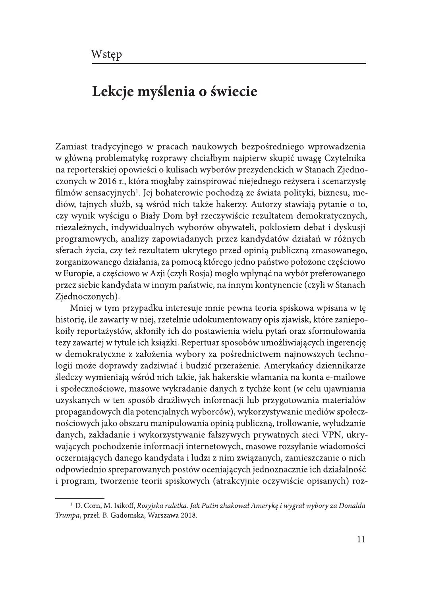## Lekcje myślenia o świecie

Zamiast tradycyjnego w pracach naukowych bezpośredniego wprowadzenia w główną problematykę rozprawy chciałbym najpierw skupić uwagę Czytelnika na reporterskiej opowieści o kulisach wyborów prezydenckich w Stanach Zjednoczonych w 2016 r., która mogłaby zainspirować niejednego reżysera i scenarzystę filmów sensacyjnych<sup>1</sup>. Jej bohaterowie pochodzą ze świata polityki, biznesu, mediów, tajnych służb, są wśród nich także hakerzy. Autorzy stawiają pytanie o to, czy wynik wyścigu o Biały Dom był rzeczywiście rezultatem demokratycznych, niezależnych, indywidualnych wyborów obywateli, pokłosiem debat i dyskusji programowych, analizy zapowiadanych przez kandydatów działań w różnych sferach życia, czy też rezultatem ukrytego przed opinią publiczną zmasowanego, zorganizowanego działania, za pomocą którego jedno państwo położone częściowo w Europie, a częściowo w Azji (czyli Rosja) mogło wpłynąć na wybór preferowanego przez siebie kandydata w innym państwie, na innym kontynencie (czyli w Stanach Zjednoczonych).

Mniej w tym przypadku interesuje mnie pewna teoria spiskowa wpisana w tę historię, ile zawarty w niej, rzetelnie udokumentowany opis zjawisk, które zaniepokoiły reportażystów, skłoniły ich do postawienia wielu pytań oraz sformułowania tezy zawartej w tytule ich książki. Repertuar sposobów umożliwiających ingerencję w demokratyczne z założenia wybory za pośrednictwem najnowszych technologii może doprawdy zadziwiać i budzić przerażenie. Amerykańcy dziennikarze śledczy wymieniają wśród nich takie, jak hakerskie włamania na konta e-mailowe i społecznościowe, masowe wykradanie danych z tychże kont (w celu ujawniania uzyskanych w ten sposób drażliwych informacji lub przygotowania materiałów propagandowych dla potencjalnych wyborców), wykorzystywanie mediów społecznościowych jako obszaru manipulowania opinią publiczną, trollowanie, wyłudzanie danych, zakładanie i wykorzystywanie fałszywych prywatnych sieci VPN, ukrywających pochodzenie informacji internetowych, masowe rozsyłanie wiadomości oczerniających danego kandydata i ludzi z nim związanych, zamieszczanie o nich odpowiednio spreparowanych postów oceniających jednoznacznie ich działalność i program, tworzenie teorii spiskowych (atrakcyjnie oczywiście opisanych) roz-

 $^{-1}$  D. Corn, M. Isikoff, Rosyjska ruletka. Jak Putin zhakował Amerykę i wygrał wybory za Donalda Trumpa, przeł. B. Gadomska, Warszawa 2018.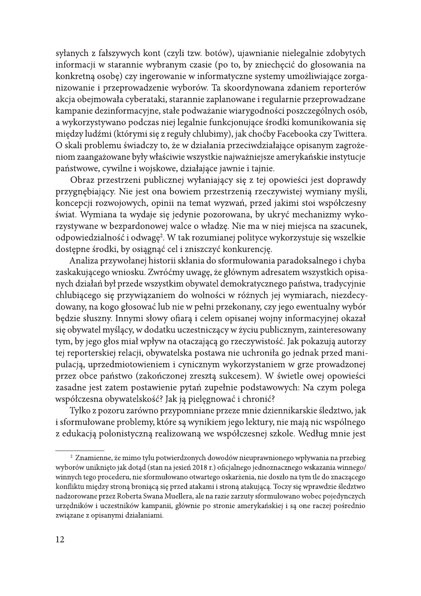syłanych z fałszywych kont (czyli tzw. botów), ujawnianie nielegalnie zdobytych informacji w starannie wybranym czasie (po to, by zniechęcić do głosowania na konkretną osobę) czy ingerowanie w informatyczne systemy umożliwiające zorganizowanie i przeprowadzenie wyborów. Ta skoordynowana zdaniem reporterów akcja obejmowała cyberataki, starannie zaplanowane i regularnie przeprowadzane kampanie dezinformacyjne, stałe podważanie wiarygodności poszczególnych osób, a wykorzystywano podczas niej legalnie funkcjonujące środki komunikowania się między ludźmi (którymi się z reguły chlubimy), jak choćby Facebooka czy Twittera. O skali problemu świadczy to, że w działania przeciwdziałające opisanym zagrożeniom zaangażowane były właściwie wszystkie najważniejsze amerykańskie instytucje państwowe, cywilne i wojskowe, działające jawnie i tajnie.

Obraz przestrzeni publicznej wyłaniający się z tej opowieści jest doprawdy przygnębiający. Nie jest ona bowiem przestrzenią rzeczywistej wymiany myśli, koncepcji rozwojowych, opinii na temat wyzwań, przed jakimi stoi współczesny świat. Wymiana ta wydaje się jedynie pozorowana, by ukryć mechanizmy wykorzystywane w bezpardonowej walce o władzę. Nie ma w niej miejsca na szacunek, odpowiedzialność i odwagę<sup>2</sup>. W tak rozumianej polityce wykorzystuje się wszelkie dostępne środki, by osiągnąć cel i zniszczyć konkurencję.

Analiza przywołanej historii skłania do sformułowania paradoksalnego i chyba zaskakującego wniosku. Zwróćmy uwagę, że głównym adresatem wszystkich opisanych działań był przede wszystkim obywatel demokratycznego państwa, tradycyjnie chlubiącego się przywiązaniem do wolności w różnych jej wymiarach, niezdecydowany, na kogo głosować lub nie w pełni przekonany, czy jego ewentualny wybór będzie słuszny. Innymi słowy ofiarą i celem opisanej wojny informacyjnej okazał się obywatel myślący, w dodatku uczestniczący w życiu publicznym, zainteresowany tym, by jego głos miał wpływ na otaczającą go rzeczywistość. Jak pokazują autorzy tej reporterskiej relacji, obywatelska postawa nie uchroniła go jednak przed manipulacją, uprzedmiotowieniem i cynicznym wykorzystaniem w grze prowadzonej przez obce państwo (zakończonej zresztą sukcesem). W świetle owej opowieści zasadne jest zatem postawienie pytań zupełnie podstawowych: Na czym polega współczesna obywatelskość? Jak ją pielęgnować i chronić?

Tylko z pozoru zarówno przypomniane przeze mnie dziennikarskie śledztwo, jak i sformułowane problemy, które są wynikiem jego lektury, nie mają nic wspólnego z edukacją polonistyczną realizowaną we współczesnej szkole. Według mnie jest

<sup>&</sup>lt;sup>2</sup> Znamienne, że mimo tylu potwierdzonych dowodów nieuprawnionego wpływania na przebieg wyborów uniknięto jak dotąd (stan na jesień 2018 r.) oficjalnego jednoznacznego wskazania winnego/ winnych tego procederu, nie sformułowano otwartego oskarżenia, nie doszło na tym tle do znaczącego konfliktu między stroną broniącą się przed atakami i stroną atakującą. Toczy się wprawdzie śledztwo nadzorowane przez Roberta Swana Muellera, ale na razie zarzuty sformułowano wobec pojedynczych urzędników i uczestników kampanii, głównie po stronie amerykańskiej i są one raczej pośrednio związane z opisanymi działaniami.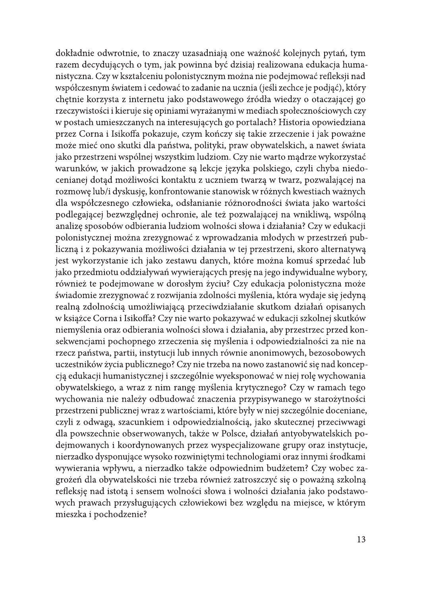dokładnie odwrotnie, to znaczy uzasadniają one ważność kolejnych pytań, tym razem decydujących o tym, jak powinna być dzisiaj realizowana edukacja humanistyczna. Czy w kształceniu polonistycznym można nie podejmować refleksji nad współczesnym światem i cedować to zadanie na ucznia (jeśli zechce je podjąć), który chętnie korzysta z internetu jako podstawowego źródła wiedzy o otaczającej go rzeczywistości i kieruje się opiniami wyrażanymi w mediach społecznościowych czy w postach umieszczanych na interesujących go portalach? Historia opowiedziana przez Corna i Isikoffa pokazuje, czym kończy się takie zrzeczenie i jak poważne może mieć ono skutki dla państwa, polityki, praw obywatelskich, a nawet świata jako przestrzeni wspólnej wszystkim ludziom. Czy nie warto mądrze wykorzystać warunków, w jakich prowadzone są lekcje języka polskiego, czyli chyba niedocenianej dotąd możliwości kontaktu z uczniem twarzą w twarz, pozwalającej na rozmowę lub/i dyskusję, konfrontowanie stanowisk w różnych kwestiach ważnych dla współczesnego człowieka, odsłanianie różnorodności świata jako wartości podlegającej bezwzględnej ochronie, ale też pozwalającej na wnikliwą, wspólną analizę sposobów odbierania ludziom wolności słowa i działania? Czy w edukacji polonistycznej można zrezygnować z wprowadzania młodych w przestrzeń publiczną i z pokazywania możliwości działania w tej przestrzeni, skoro alternatywą jest wykorzystanie ich jako zestawu danych, które można komuś sprzedać lub jako przedmiotu oddziaływań wywierających presję na jego indywidualne wybory, również te podejmowane w dorosłym życiu? Czy edukacja polonistyczna może świadomie zrezygnować z rozwijania zdolności myślenia, która wydaje się jedyną realną zdolnością umożliwiającą przeciwdziałanie skutkom działań opisanych w książce Corna i Isikoffa? Czy nie warto pokazywać w edukacji szkolnej skutków niemyślenia oraz odbierania wolności słowa i działania, aby przestrzec przed konsekwencjami pochopnego zrzeczenia się myślenia i odpowiedzialności za nie na rzecz państwa, partii, instytucji lub innych równie anonimowych, bezosobowych uczestników życia publicznego? Czy nie trzeba na nowo zastanowić się nad koncepcją edukacji humanistycznej i szczególnie wyeksponować w niej rolę wychowania obywatelskiego, a wraz z nim rangę myślenia krytycznego? Czy w ramach tego wychowania nie należy odbudować znaczenia przypisywanego w starożytności przestrzeni publicznej wraz z wartościami, które były w niej szczególnie doceniane, czyli z odwagą, szacunkiem i odpowiedzialnością, jako skutecznej przeciwwagi dla powszechnie obserwowanych, także w Polsce, działań antyobywatelskich podejmowanych i koordynowanych przez wyspecjalizowane grupy oraz instytucje, nierzadko dysponujące wysoko rozwiniętymi technologiami oraz innymi środkami wywierania wpływu, a nierzadko także odpowiednim budżetem? Czy wobec zagrożeń dla obywatelskości nie trzeba również zatroszczyć się o poważną szkolną refleksję nad istotą i sensem wolności słowa i wolności działania jako podstawowych prawach przysługujących człowiekowi bez względu na miejsce, w którym mieszka i pochodzenie?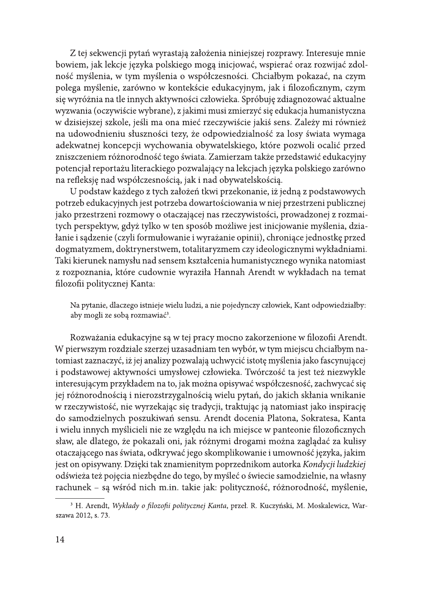Z tej sekwencji pytań wyrastają założenia niniejszej rozprawy. Interesuje mnie bowiem, jak lekcje języka polskiego mogą inicjować, wspierać oraz rozwijać zdolność myślenia, w tym myślenia o współczesności. Chciałbym pokazać, na czym polega myślenie, zarówno w kontekście edukacyjnym, jak i filozoficznym, czym się wyróżnia na tle innych aktywności człowieka. Spróbuję zdiagnozować aktualne wyzwania (oczywiście wybrane), z jakimi musi zmierzyć się edukacja humanistyczna w dzisiejszej szkole, jeśli ma ona mieć rzeczywiście jakiś sens. Zależy mi również na udowodnieniu słuszności tezy, że odpowiedzialność za losy świata wymaga adekwatnej koncepcji wychowania obywatelskiego, które pozwoli ocalić przed zniszczeniem różnorodność tego świata. Zamierzam także przedstawić edukacyjny potencjał reportażu literackiego pozwalający na lekcjach języka polskiego zarówno na refleksję nad współczesnością, jak i nad obywatelskością.

U podstaw każdego z tych założeń tkwi przekonanie, iż jedną z podstawowych potrzeb edukacyjnych jest potrzeba dowartościowania w niej przestrzeni publicznej jako przestrzeni rozmowy o otaczającej nas rzeczywistości, prowadzonej z rozmaitych perspektyw, gdyż tylko w ten sposób możliwe jest inicjowanie myślenia, działanie i sądzenie (czyli formułowanie i wyrażanie opinii), chroniące jednostkę przed dogmatyzmem, doktrynerstwem, totalitaryzmem czy ideologicznymi wykładniami. Taki kierunek namysłu nad sensem kształcenia humanistycznego wynika natomiast z rozpoznania, które cudownie wyraziła Hannah Arendt w wykładach na temat filozofii politycznej Kanta:

Na pytanie, dlaczego istnieje wielu ludzi, a nie pojedynczy człowiek, Kant odpowiedziałby: aby mogli ze sobą rozmawiać<sup>3</sup>.

Rozważania edukacyjne są w tej pracy mocno zakorzenione w filozofii Arendt. W pierwszym rozdziale szerzej uzasadniam ten wybór, w tym miejscu chciałbym natomiast zaznaczyć, iż jej analizy pozwalają uchwycić istotę myślenia jako fascynującej i podstawowej aktywności umysłowej człowieka. Twórczość ta jest też niezwykle interesującym przykładem na to, jak można opisywać współczesność, zachwycać się jej różnorodnością i nierozstrzygalnością wielu pytań, do jakich skłania wnikanie w rzeczywistość, nie wyrzekając się tradycji, traktując ją natomiast jako inspirację do samodzielnych poszukiwań sensu. Arendt docenia Platona, Sokratesa, Kanta i wielu innych myślicieli nie ze względu na ich miejsce w panteonie filozoficznych sław, ale dlatego, że pokazali oni, jak różnymi drogami można zaglądać za kulisy otaczającego nas świata, odkrywać jego skomplikowanie i umowność języka, jakim jest on opisywany. Dzięki tak znamienitym poprzednikom autorka Kondycji ludzkiej odświeża też pojęcia niezbędne do tego, by myśleć o świecie samodzielnie, na własny rachunek – są wśród nich m.in. takie jak: polityczność, różnorodność, myślenie,

<sup>&</sup>lt;sup>3</sup> H. Arendt, Wykłady o filozofii politycznej Kanta, przeł. R. Kuczyński, M. Moskalewicz, Warszawa 2012, s. 73.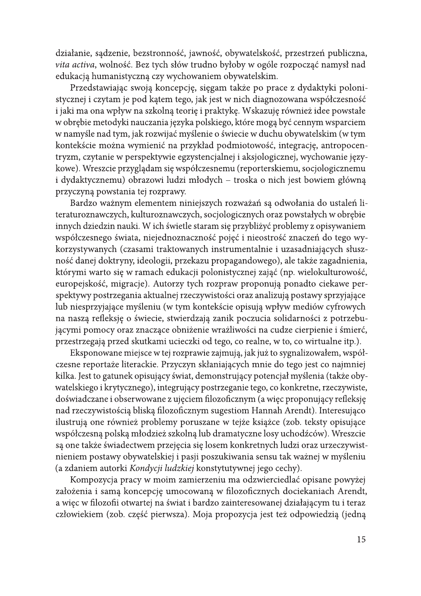działanie, sądzenie, bezstronność, jawność, obywatelskość, przestrzeń publiczna, vita activa, wolność. Bez tych słów trudno byłoby w ogóle rozpocząć namysł nad edukacją humanistyczną czy wychowaniem obywatelskim.

Przedstawiając swoją koncepcję, sięgam także po prace z dydaktyki polonistycznej i czytam je pod kątem tego, jak jest w nich diagnozowana współczesność i jaki ma ona wpływ na szkolną teorię i praktykę. Wskazuję również idee powstałe w obrębie metodyki nauczania języka polskiego, które mogą być cennym wsparciem w namyśle nad tym, jak rozwijać myślenie o świecie w duchu obywatelskim (w tym kontekście można wymienić na przykład podmiotowość, integrację, antropocentryzm, czytanie w perspektywie egzystencjalnej i aksjologicznej, wychowanie językowe). Wreszcie przyglądam się współczesnemu (reporterskiemu, socjologicznemu i dydaktycznemu) obrazowi ludzi młodych – troska o nich jest bowiem główną przyczyną powstania tej rozprawy.

Bardzo ważnym elementem niniejszych rozważań są odwołania do ustaleń literaturoznawczych, kulturoznawczych, socjologicznych oraz powstałych w obrębie innych dziedzin nauki. W ich świetle staram się przybliżyć problemy z opisywaniem współczesnego świata, niejednoznaczność pojęć i nieostrość znaczeń do tego wykorzystywanych (czasami traktowanych instrumentalnie i uzasadniających słuszność danej doktryny, ideologii, przekazu propagandowego), ale także zagadnienia, którymi warto się w ramach edukacji polonistycznej zająć (np. wielokulturowość, europejskość, migracje). Autorzy tych rozpraw proponują ponadto ciekawe perspektywy postrzegania aktualnej rzeczywistości oraz analizują postawy sprzyjające lub niesprzyjające myśleniu (w tym kontekście opisują wpływ mediów cyfrowych na naszą refleksję o świecie, stwierdzają zanik poczucia solidarności z potrzebującymi pomocy oraz znaczące obniżenie wrażliwości na cudze cierpienie i śmierć, przestrzegają przed skutkami ucieczki od tego, co realne, w to, co wirtualne itp.).

Eksponowane miejsce w tej rozprawie zajmują, jak już to sygnalizowałem, współczesne reportaże literackie. Przyczyn skłaniających mnie do tego jest co najmniej kilka. Jest to gatunek opisujący świat, demonstrujący potencjał myślenia (także obywatelskiego i krytycznego), integrujący postrzeganie tego, co konkretne, rzeczywiste, doświadczane i obserwowane z ujęciem filozoficznym (a więc proponujący refleksję nad rzeczywistością bliską filozoficznym sugestiom Hannah Arendt). Interesująco ilustrują one również problemy poruszane w tejże książce (zob. teksty opisujące współczesną polską młodzież szkolną lub dramatyczne losy uchodźców). Wreszcie są one także świadectwem przejęcia się losem konkretnych ludzi oraz urzeczywistnieniem postawy obywatelskiej i pasji poszukiwania sensu tak ważnej w myśleniu (a zdaniem autorki Kondycji ludzkiej konstytutywnej jego cechy).

Kompozycja pracy w moim zamierzeniu ma odzwierciedlać opisane powyżej założenia i samą koncepcję umocowaną w filozoficznych dociekaniach Arendt, a więc w filozofii otwartej na świat i bardzo zainteresowanej działającym tu i teraz człowiekiem (zob. część pierwsza). Moja propozycja jest też odpowiedzią (jedną